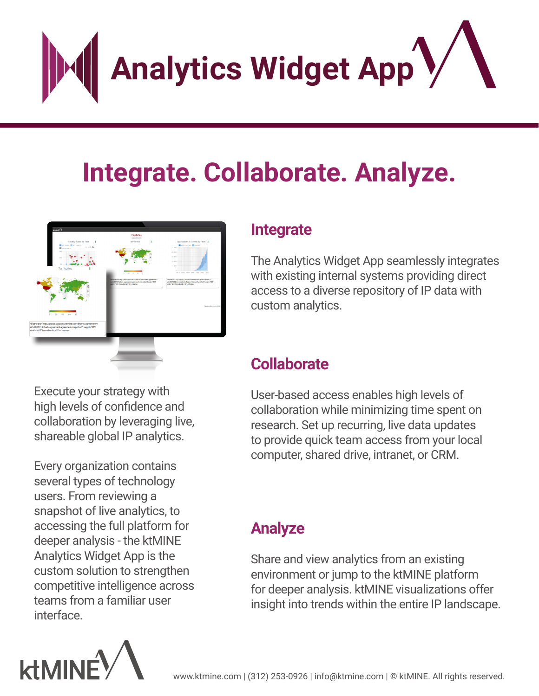**Analytics Widget App**

# **Integrate. Collaborate. Analyze.**



Execute your strategy with high levels of confidence and collaboration by leveraging live, shareable global IP analytics.

Every organization contains several types of technology users. From reviewing a snapshot of live analytics, to accessing the full platform for deeper analysis - the ktMINE Analytics Widget App is the custom solution to strengthen competitive intelligence across teams from a familiar user interface.



#### **Integrate**

The Analytics Widget App seamlessly integrates with existing internal systems providing direct access to a diverse repository of IP data with custom analytics.

#### **Collaborate**

User-based access enables high levels of collaboration while minimizing time spent on research. Set up recurring, live data updates to provide quick team access from your local computer, shared drive, intranet, or CRM.

### **Analyze**

Share and view analytics from an existing environment or jump to the ktMINE platform for deeper analysis. ktMINE visualizations offer insight into trends within the entire IP landscape.